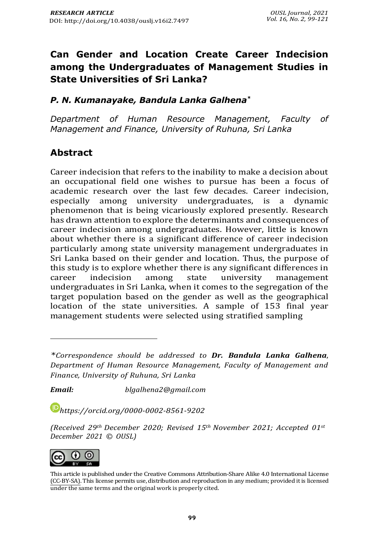# **Can Gender and Location Create Career Indecision among the Undergraduates of Management Studies in State Universities of Sri Lanka?**

### *P. N. Kumanayake, Bandula Lanka Galhena\**

*Department of Human Resource Management, Faculty of Management and Finance, University of Ruhuna, Sri Lanka*

### **Abstract**

Career indecision that refers to the inability to make a decision about an occupational field one wishes to pursue has been a focus of academic research over the last few decades. Career indecision, especially among university undergraduates, is a dynamic phenomenon that is being vicariously explored presently. Research has drawn attention to explore the determinants and consequences of career indecision among undergraduates. However, little is known about whether there is a significant difference of career indecision particularly among state university management undergraduates in Sri Lanka based on their gender and location. Thus, the purpose of this study is to explore whether there is any significant differences in career indecision among state university management undergraduates in Sri Lanka, when it comes to the segregation of the target population based on the gender as well as the geographical location of the state universities. A sample of 153 final year management students were selected using stratified sampling

*Email: [blgalhena2@gmail.com](mailto:blgalhena2@gmail.com)*

*[https://orcid.org/0](https://orcid.org/)000-0002-8561-9202*

*(Received 29th December 2020; Revised 15th November 2021; Accepted 01st December 2021 © OUSL)*



This article is published under th[e Creative Commons Attribution-Share Alike 4.0 International License](http://creativecommons.org/licenses/by-sa/4.0/) (CC-BY-SA). This license permits use, distribution and reproduction in any medium; provided it is licensed under the same terms and the original work is properly cited.

*<sup>\*</sup>Correspondence should be addressed to Dr. Bandula Lanka Galhena*, *Department of Human Resource Management, Faculty of Management and Finance, University of Ruhuna, Sri Lanka*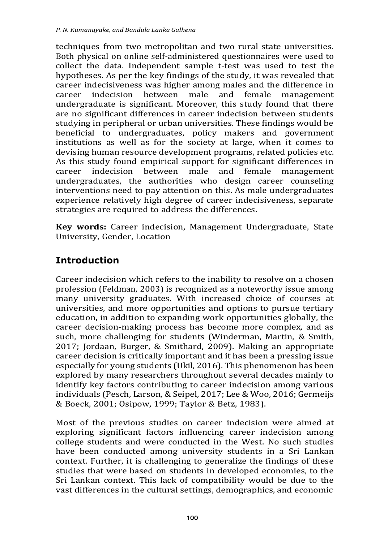techniques from two metropolitan and two rural state universities. Both physical on online self-administered questionnaires were used to collect the data. Independent sample t-test was used to test the hypotheses. As per the key findings of the study, it was revealed that career indecisiveness was higher among males and the difference in career indecision between male and female management undergraduate is significant. Moreover, this study found that there are no significant differences in career indecision between students studying in peripheral or urban universities. These findings would be beneficial to undergraduates, policy makers and government institutions as well as for the society at large, when it comes to devising human resource development programs, related policies etc. As this study found empirical support for significant differences in career indecision between male and female management undergraduates, the authorities who design career counseling interventions need to pay attention on this. As male undergraduates experience relatively high degree of career indecisiveness, separate strategies are required to address the differences.

**Key words:** Career indecision, Management Undergraduate, State University, Gender, Location

# **Introduction**

Career indecision which refers to the inability to resolve on a chosen profession (Feldman, 2003) is recognized as a noteworthy issue among many university graduates. With increased choice of courses at universities, and more opportunities and options to pursue tertiary education, in addition to expanding work opportunities globally, the career decision-making process has become more complex, and as such, more challenging for students (Winderman, Martin, & Smith, 2017; Jordaan, Burger, & Smithard, 2009). Making an appropriate career decision is critically important and it has been a pressing issue especially for young students (Ukil, 2016). This phenomenon has been explored by many researchers throughout several decades mainly to identify key factors contributing to career indecision among various individuals (Pesch, Larson, & Seipel, 2017; Lee & Woo, 2016; Germeijs & Boeck, 2001; Osipow, 1999; Taylor & Betz, 1983).

Most of the previous studies on career indecision were aimed at exploring significant factors influencing career indecision among college students and were conducted in the West. No such studies have been conducted among university students in a Sri Lankan context. Further, it is challenging to generalize the findings of these studies that were based on students in developed economies, to the Sri Lankan context. This lack of compatibility would be due to the vast differences in the cultural settings, demographics, and economic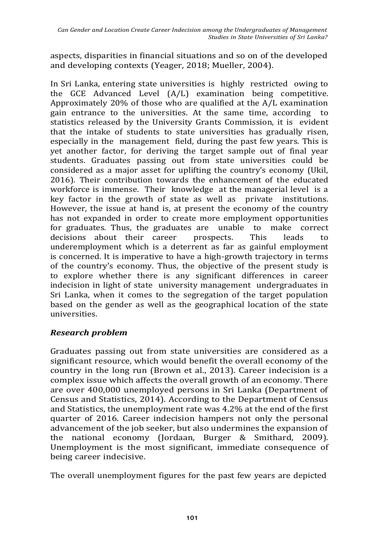aspects, disparities in financial situations and so on of the developed and developing contexts (Yeager, 2018; Mueller, 2004).

In Sri Lanka, entering state universities is highly restricted owing to the GCE Advanced Level (A/L) examination being competitive. Approximately 20% of those who are qualified at the A/L examination gain entrance to the universities. At the same time, according to statistics released by the University Grants Commission, it is evident that the intake of students to state universities has gradually risen, especially in the management field, during the past few years. This is yet another factor, for deriving the target sample out of final year students. Graduates passing out from state universities could be considered as a major asset for uplifting the country's economy (Ukil, 2016). Their contribution towards the enhancement of the educated workforce is immense. Their knowledge at the managerial level is a key factor in the growth of state as well as private institutions. However, the issue at hand is, at present the economy of the country has not expanded in order to create more employment opportunities for graduates. Thus, the graduates are unable to make correct decisions about their career prospects. This leads to underemployment which is a deterrent as far as gainful employment is concerned. It is imperative to have a high-growth trajectory in terms of the country's economy. Thus, the objective of the present study is to explore whether there is any significant differences in career indecision in light of state university management undergraduates in Sri Lanka, when it comes to the segregation of the target population based on the gender as well as the geographical location of the state universities.

### *Research problem*

Graduates passing out from state universities are considered as a significant resource, which would benefit the overall economy of the country in the long run (Brown et al., 2013). Career indecision is a complex issue which affects the overall growth of an economy. There are over 400,000 unemployed persons in Sri Lanka (Department of Census and Statistics, 2014). According to the Department of Census and Statistics, the unemployment rate was 4.2% at the end of the first quarter of 2016. Career indecision hampers not only the personal advancement of the job seeker, but also undermines the expansion of the national economy (Jordaan, Burger & Smithard, 2009). Unemployment is the most significant, immediate consequence of being career indecisive.

The overall unemployment figures for the past few years are depicted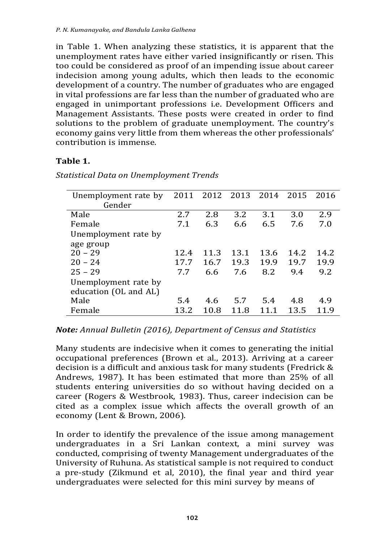in Table 1. When analyzing these statistics, it is apparent that the unemployment rates have either varied insignificantly or risen. This too could be considered as proof of an impending issue about career indecision among young adults, which then leads to the economic development of a country. The number of graduates who are engaged in vital professions are far less than the number of graduated who are engaged in unimportant professions i.e. Development Officers and Management Assistants. These posts were created in order to find solutions to the problem of graduate unemployment. The country's economy gains very little from them whereas the other professionals' contribution is immense.

#### **Table 1.**

| Unemployment rate by  | 2011 |      | 2012 2013 | 2014 | 2015 | 2016 |
|-----------------------|------|------|-----------|------|------|------|
| Gender                |      |      |           |      |      |      |
| Male                  | 2.7  | 2.8  | 3.2       | 3.1  | 3.0  | 2.9  |
| Female                | 7.1  | 6.3  | 6.6       | 6.5  | 7.6  | 7.0  |
| Unemployment rate by  |      |      |           |      |      |      |
| age group             |      |      |           |      |      |      |
| $20 - 29$             | 12.4 | 11.3 | 13.1      | 13.6 | 14.2 | 14.2 |
| $20 - 24$             | 17.7 | 16.7 | 19.3      | 19.9 | 19.7 | 19.9 |
| $25 - 29$             | 7.7  | 6.6  | 7.6       | 8.2  | 9.4  | 9.2  |
| Unemployment rate by  |      |      |           |      |      |      |
| education (OL and AL) |      |      |           |      |      |      |
| Male                  | 5.4  | 4.6  | 5.7       | 5.4  | 4.8  | 4.9  |
| Female                | 13.2 | 10.8 | 11.8      | 11 1 | 13.5 | 11.9 |

*Statistical Data on Unemployment Trends*

### *Note: Annual Bulletin (2016), Department of Census and Statistics*

Many students are indecisive when it comes to generating the initial occupational preferences (Brown et al., 2013). Arriving at a career decision is a difficult and anxious task for many students (Fredrick & Andrews, 1987). It has been estimated that more than 25% of all students entering universities do so without having decided on a career (Rogers & Westbrook, 1983). Thus, career indecision can be cited as a complex issue which affects the overall growth of an economy (Lent & Brown, 2006).

In order to identify the prevalence of the issue among management undergraduates in a Sri Lankan context, a mini survey was conducted, comprising of twenty Management undergraduates of the University of Ruhuna. As statistical sample is not required to conduct a pre-study (Zikmund et al, 2010), the final year and third year undergraduates were selected for this mini survey by means of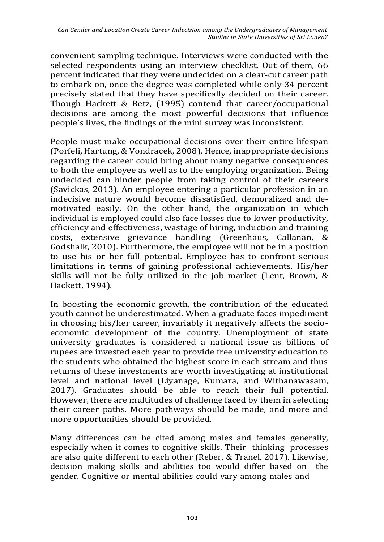convenient sampling technique. Interviews were conducted with the selected respondents using an interview checklist. Out of them, 66 percent indicated that they were undecided on a clear-cut career path to embark on, once the degree was completed while only 34 percent precisely stated that they have specifically decided on their career. Though Hackett & Betz, (1995) contend that career/occupational decisions are among the most powerful decisions that influence people's lives, the findings of the mini survey was inconsistent.

People must make occupational decisions over their entire lifespan (Porfeli, Hartung, & Vondracek, 2008). Hence, inappropriate decisions regarding the career could bring about many negative consequences to both the employee as well as to the employing organization. Being undecided can hinder people from taking control of their careers (Savickas, 2013). An employee entering a particular profession in an indecisive nature would become dissatisfied, demoralized and demotivated easily. On the other hand, the organization in which individual is employed could also face losses due to lower productivity, efficiency and effectiveness, wastage of hiring, induction and training costs, extensive grievance handling (Greenhaus, Callanan, & Godshalk, 2010). Furthermore, the employee will not be in a position to use his or her full potential. Employee has to confront serious limitations in terms of gaining professional achievements. His/her skills will not be fully utilized in the job market (Lent, Brown, & Hackett, 1994).

In boosting the economic growth, the contribution of the educated youth cannot be underestimated. When a graduate faces impediment in choosing his/her career, invariably it negatively affects the socioeconomic development of the country. Unemployment of state university graduates is considered a national issue as billions of rupees are invested each year to provide free university education to the students who obtained the highest score in each stream and thus returns of these investments are worth investigating at institutional level and national level (Liyanage, Kumara, and Withanawasam, 2017). Graduates should be able to reach their full potential. However, there are multitudes of challenge faced by them in selecting their career paths. More pathways should be made, and more and more opportunities should be provided.

Many differences can be cited among males and females generally, especially when it comes to cognitive skills. Their thinking processes are also quite different to each other (Reber, & Tranel, 2017). Likewise, decision making skills and abilities too would differ based on the gender. Cognitive or mental abilities could vary among males and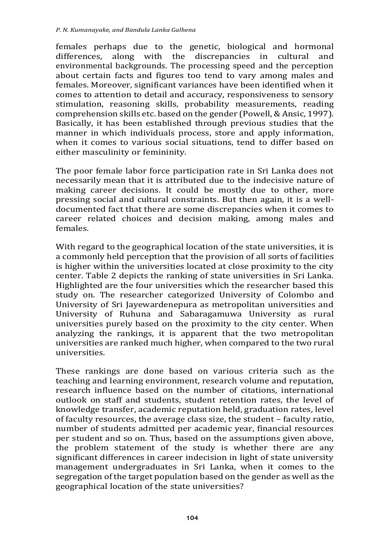females perhaps due to the genetic, biological and hormonal differences, along with the discrepancies in cultural and environmental backgrounds. The processing speed and the perception about certain facts and figures too tend to vary among males and females. Moreover, significant variances have been identified when it comes to attention to detail and accuracy, responsiveness to sensory stimulation, reasoning skills, probability measurements, reading comprehension skills etc. based on the gender (Powell, & Ansic, 1997). Basically, it has been established through previous studies that the manner in which individuals process, store and apply information, when it comes to various social situations, tend to differ based on either masculinity or femininity.

The poor female labor force participation rate in Sri Lanka does not necessarily mean that it is attributed due to the indecisive nature of making career decisions. It could be mostly due to other, more pressing social and cultural constraints. But then again, it is a welldocumented fact that there are some discrepancies when it comes to career related choices and decision making, among males and females.

With regard to the geographical location of the state universities, it is a commonly held perception that the provision of all sorts of facilities is higher within the universities located at close proximity to the city center. Table 2 depicts the ranking of state universities in Sri Lanka. Highlighted are the four universities which the researcher based this study on. The researcher categorized University of Colombo and University of Sri Jayewardenepura as metropolitan universities and University of Ruhuna and Sabaragamuwa University as rural universities purely based on the proximity to the city center. When analyzing the rankings, it is apparent that the two metropolitan universities are ranked much higher, when compared to the two rural universities.

These rankings are done based on various criteria such as the teaching and learning environment, research volume and reputation, research influence based on the number of citations, international outlook on staff and students, student retention rates, the level of knowledge transfer, academic reputation held, graduation rates, level of faculty resources, the average class size, the student – faculty ratio, number of students admitted per academic year, financial resources per student and so on. Thus, based on the assumptions given above, the problem statement of the study is whether there are any significant differences in career indecision in light of state university management undergraduates in Sri Lanka, when it comes to the segregation of the target population based on the gender as well as the geographical location of the state universities?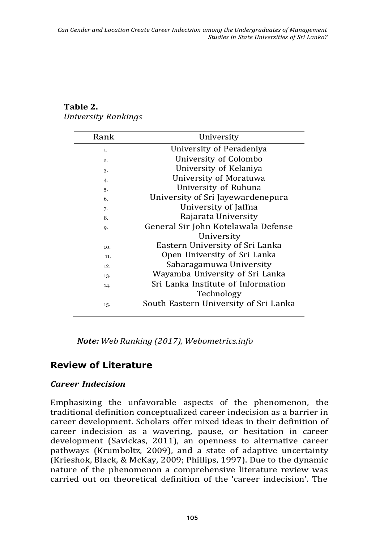| Rank | University                            |
|------|---------------------------------------|
| 1.   | University of Peradeniya              |
| 2.   | University of Colombo                 |
| 3.   | University of Kelaniya                |
| 4.   | University of Moratuwa                |
| 5.   | University of Ruhuna                  |
| 6.   | University of Sri Jayewardenepura     |
| 7.   | University of Jaffna                  |
| 8.   | Rajarata University                   |
| 9.   | General Sir John Kotelawala Defense   |
|      | University                            |
| 10.  | Eastern University of Sri Lanka       |
| 11.  | Open University of Sri Lanka          |
| 12.  | Sabaragamuwa University               |
| 13.  | Wayamba University of Sri Lanka       |
| 14.  | Sri Lanka Institute of Information    |
|      | Technology                            |
| 15.  | South Eastern University of Sri Lanka |
|      |                                       |

### **Table 2.** *University Rankings*

*Note: Web Ranking (2017), Webometrics.info*

## **Review of Literature**

### *Career Indecision*

Emphasizing the unfavorable aspects of the phenomenon, the traditional definition conceptualized career indecision as a barrier in career development. Scholars offer mixed ideas in their definition of career indecision as a wavering, pause, or hesitation in career development (Savickas, 2011), an openness to alternative career pathways (Krumboltz, 2009), and a state of adaptive uncertainty (Krieshok, Black, & McKay, 2009; Phillips, 1997). Due to the dynamic nature of the phenomenon a comprehensive literature review was carried out on theoretical definition of the 'career indecision'. The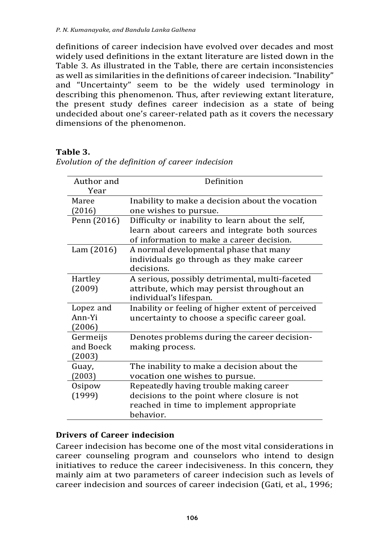definitions of career indecision have evolved over decades and most widely used definitions in the extant literature are listed down in the Table 3. As illustrated in the Table, there are certain inconsistencies as well as similarities in the definitions of career indecision."Inability" and "Uncertainty" seem to be the widely used terminology in describing this phenomenon. Thus, after reviewing extant literature, the present study defines career indecision as a state of being undecided about one's career-related path as it covers the necessary dimensions of the phenomenon.

#### **Table 3.**

| Author and  | Definition                                         |
|-------------|----------------------------------------------------|
| Year        |                                                    |
| Maree       | Inability to make a decision about the vocation    |
| (2016)      | one wishes to pursue.                              |
| Penn (2016) | Difficulty or inability to learn about the self,   |
|             | learn about careers and integrate both sources     |
|             | of information to make a career decision.          |
| Lam(2016)   | A normal developmental phase that many             |
|             | individuals go through as they make career         |
|             | decisions.                                         |
| Hartley     | A serious, possibly detrimental, multi-faceted     |
| (2009)      | attribute, which may persist throughout an         |
|             | individual's lifespan.                             |
| Lopez and   | Inability or feeling of higher extent of perceived |
| Ann-Yi      | uncertainty to choose a specific career goal.      |
| (2006)      |                                                    |
| Germeijs    | Denotes problems during the career decision-       |
| and Boeck   | making process.                                    |
| (2003)      |                                                    |
| Guay,       | The inability to make a decision about the         |
| (2003)      | vocation one wishes to pursue.                     |
| Osipow      | Repeatedly having trouble making career            |
| (1999)      | decisions to the point where closure is not        |
|             | reached in time to implement appropriate           |
|             | behavior.                                          |

*Evolution of the definition of career indecision*

#### **Drivers of Career indecision**

Career indecision has become one of the most vital considerations in career counseling program and counselors who intend to design initiatives to reduce the career indecisiveness. In this concern, they mainly aim at two parameters of career indecision such as levels of career indecision and sources of career indecision (Gati, et al., 1996;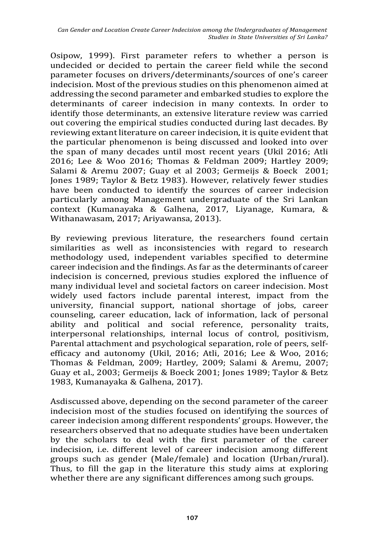Osipow, 1999). First parameter refers to whether a person is undecided or decided to pertain the career field while the second parameter focuses on drivers/determinants/sources of one's career indecision. Most of the previous studies on this phenomenon aimed at addressing the second parameter and embarked studies to explore the determinants of career indecision in many contexts. In order to identify those determinants, an extensive literature review was carried out covering the empirical studies conducted during last decades. By reviewing extant literature on career indecision, it is quite evident that the particular phenomenon is being discussed and looked into over the span of many decades until most recent years (Ukil 2016; Atli 2016; Lee & Woo 2016; Thomas & Feldman 2009; Hartley 2009; Salami & Aremu 2007; Guay et al 2003; Germeijs & Boeck 2001; Jones 1989; Taylor & Betz 1983). However, relatively fewer studies have been conducted to identify the sources of career indecision particularly among Management undergraduate of the Sri Lankan context (Kumanayaka & Galhena, 2017, Liyanage, Kumara, & Withanawasam, 2017; Ariyawansa, 2013).

By reviewing previous literature, the researchers found certain similarities as well as inconsistencies with regard to research methodology used, independent variables specified to determine career indecision and the findings. As far as the determinants of career indecision is concerned, previous studies explored the influence of many individual level and societal factors on career indecision. Most widely used factors include parental interest, impact from the university, financial support, national shortage of jobs, career counseling, career education, lack of information, lack of personal ability and political and social reference, personality traits, interpersonal relationships, internal locus of control, positivism, Parental attachment and psychological separation, role of peers, selfefficacy and autonomy (Ukil, 2016; Atli, 2016; Lee & Woo, 2016; Thomas & Feldman, 2009; Hartley, 2009; Salami & Aremu, 2007; Guay et al., 2003; Germeijs & Boeck 2001; Jones 1989; Taylor & Betz 1983, Kumanayaka & Galhena, 2017).

Asdiscussed above, depending on the second parameter of the career indecision most of the studies focused on identifying the sources of career indecision among different respondents' groups. However, the researchers observed that no adequate studies have been undertaken by the scholars to deal with the first parameter of the career indecision, i.e. different level of career indecision among different groups such as gender (Male/female) and location (Urban/rural). Thus, to fill the gap in the literature this study aims at exploring whether there are any significant differences among such groups.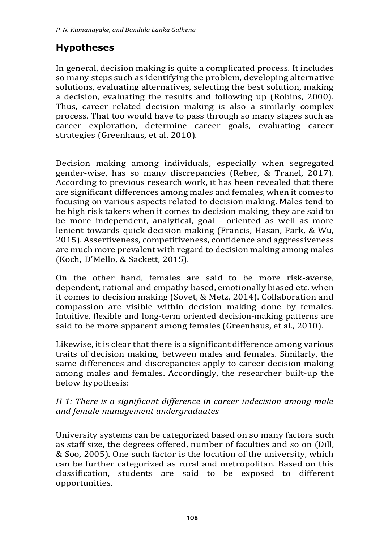# **Hypotheses**

In general, decision making is quite a complicated process. It includes so many steps such as identifying the problem, developing alternative solutions, evaluating alternatives, selecting the best solution, making a decision, evaluating the results and following up (Robins, 2000). Thus, career related decision making is also a similarly complex process. That too would have to pass through so many stages such as career exploration, determine career goals, evaluating career strategies (Greenhaus, et al. 2010).

Decision making among individuals, especially when segregated gender-wise, has so many discrepancies (Reber, & Tranel, 2017). According to previous research work, it has been revealed that there are significant differences among males and females, when it comes to focusing on various aspects related to decision making. Males tend to be high risk takers when it comes to decision making, they are said to be more independent, analytical, goal - oriented as well as more lenient towards quick decision making (Francis, Hasan, Park, & Wu, 2015). Assertiveness, competitiveness, confidence and aggressiveness are much more prevalent with regard to decision making among males (Koch, D'Mello, & Sackett, 2015).

On the other hand, females are said to be more risk-averse, dependent, rational and empathy based, emotionally biased etc. when it comes to decision making (Sovet, & Metz, 2014). Collaboration and compassion are visible within decision making done by females. Intuitive, flexible and long-term oriented decision-making patterns are said to be more apparent among females (Greenhaus, et al., 2010).

Likewise, it is clear that there is a significant difference among various traits of decision making, between males and females. Similarly, the same differences and discrepancies apply to career decision making among males and females. Accordingly, the researcher built-up the below hypothesis:

#### *H 1: There is a significant difference in career indecision among male and female management undergraduates*

University systems can be categorized based on so many factors such as staff size, the degrees offered, number of faculties and so on (Dill, & Soo, 2005). One such factor is the location of the university, which can be further categorized as rural and metropolitan. Based on this classification, students are said to be exposed to different opportunities.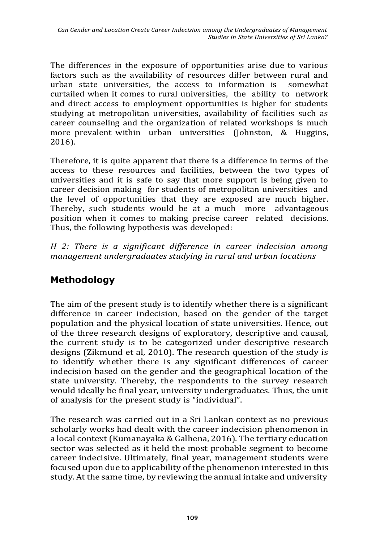The differences in the exposure of opportunities arise due to various factors such as the availability of resources differ between rural and urban state universities, the access to information is somewhat curtailed when it comes to rural universities, the ability to network and direct access to employment opportunities is higher for students studying at metropolitan universities, availability of facilities such as career counseling and the organization of related workshops is much more prevalent within urban universities (Johnston, & Huggins, 2016).

Therefore, it is quite apparent that there is a difference in terms of the access to these resources and facilities, between the two types of universities and it is safe to say that more support is being given to career decision making for students of metropolitan universities and the level of opportunities that they are exposed are much higher. Thereby, such students would be at a much more advantageous position when it comes to making precise career related decisions. Thus, the following hypothesis was developed:

*H 2: There is a significant difference in career indecision among management undergraduates studying in rural and urban locations*

# **Methodology**

The aim of the present study is to identify whether there is a significant difference in career indecision, based on the gender of the target population and the physical location of state universities. Hence, out of the three research designs of exploratory, descriptive and causal, the current study is to be categorized under descriptive research designs (Zikmund et al, 2010). The research question of the study is to identify whether there is any significant differences of career indecision based on the gender and the geographical location of the state university. Thereby, the respondents to the survey research would ideally be final year, university undergraduates. Thus, the unit of analysis for the present study is "individual".

The research was carried out in a Sri Lankan context as no previous scholarly works had dealt with the career indecision phenomenon in a local context (Kumanayaka & Galhena, 2016). The tertiary education sector was selected as it held the most probable segment to become career indecisive. Ultimately, final year, management students were focused upon due to applicability of the phenomenon interested in this study. At the same time, by reviewing the annual intake and university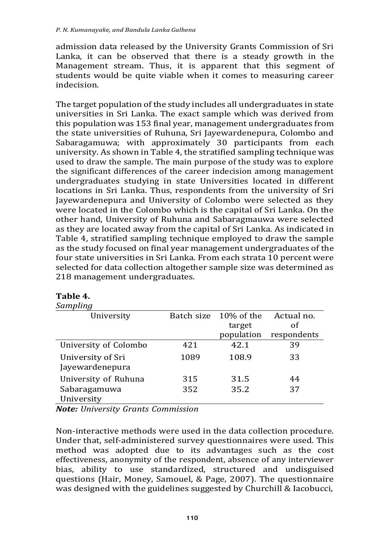admission data released by the University Grants Commission of Sri Lanka, it can be observed that there is a steady growth in the Management stream. Thus, it is apparent that this segment of students would be quite viable when it comes to measuring career indecision.

The target population of the study includes all undergraduates in state universities in Sri Lanka. The exact sample which was derived from this population was 153 final year, management undergraduates from the state universities of Ruhuna, Sri Jayewardenepura, Colombo and Sabaragamuwa; with approximately 30 participants from each university. As shown in Table 4, the stratified sampling technique was used to draw the sample. The main purpose of the study was to explore the significant differences of the career indecision among management undergraduates studying in state Universities located in different locations in Sri Lanka. Thus, respondents from the university of Sri Jayewardenepura and University of Colombo were selected as they were located in the Colombo which is the capital of Sri Lanka. On the other hand, University of Ruhuna and Sabaragmauwa were selected as they are located away from the capital of Sri Lanka. As indicated in Table 4, stratified sampling technique employed to draw the sample as the study focused on final year management undergraduates of the four state universities in Sri Lanka. From each strata 10 percent were selected for data collection altogether sample size was determined as 218 management undergraduates.

| ounipung              |      |                       |             |
|-----------------------|------|-----------------------|-------------|
| University            |      | Batch size 10% of the | Actual no.  |
|                       |      | target                | of          |
|                       |      | population            | respondents |
| University of Colombo | 421  | 42.1                  | 39          |
| University of Sri     | 1089 | 108.9                 | 33          |
| Jayewardenepura       |      |                       |             |
| University of Ruhuna  | 315  | 31.5                  | 44          |
| Sabaragamuwa          | 352  | 35.2                  | 37          |
| University            |      |                       |             |

#### **Table 4.** *Sampling*

*Note: University Grants Commission*

Non-interactive methods were used in the data collection procedure. Under that, self-administered survey questionnaires were used. This method was adopted due to its advantages such as the cost effectiveness, anonymity of the respondent, absence of any interviewer bias, ability to use standardized, structured and undisguised questions (Hair, Money, Samouel, & Page, 2007). The questionnaire was designed with the guidelines suggested by Churchill & Iacobucci,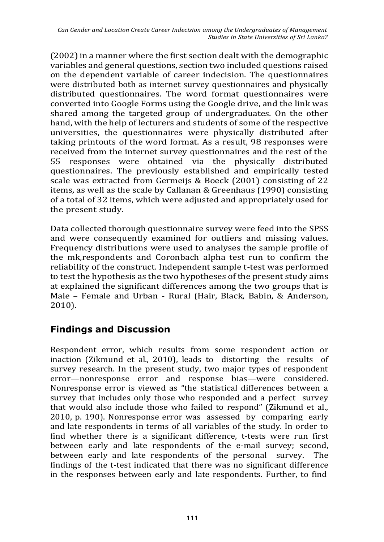(2002) in a manner where the first section dealt with the demographic variables and general questions, section two included questions raised on the dependent variable of career indecision. The questionnaires were distributed both as internet survey questionnaires and physically distributed questionnaires. The word format questionnaires were converted into Google Forms using the Google drive, and the link was shared among the targeted group of undergraduates. On the other hand, with the help of lecturers and students of some of the respective universities, the questionnaires were physically distributed after taking printouts of the word format. As a result, 98 responses were received from the internet survey questionnaires and the rest of the 55 responses were obtained via the physically distributed questionnaires. The previously established and empirically tested scale was extracted from Germeijs & Boeck (2001) consisting of 22 items, as well as the scale by Callanan & Greenhaus (1990) consisting of a total of 32 items, which were adjusted and appropriately used for the present study.

Data collected thorough questionnaire survey were feed into the SPSS and were consequently examined for outliers and missing values. Frequency distributions were used to analyses the sample profile of the mk,respondents and Coronbach alpha test run to confirm the reliability of the construct. Independent sample t-test was performed to test the hypothesis as the two hypotheses of the present study aims at explained the significant differences among the two groups that is Male – Female and Urban - Rural (Hair, Black, Babin, & Anderson, 2010).

# **Findings and Discussion**

Respondent error, which results from some respondent action or inaction (Zikmund et al., 2010), leads to distorting the results of survey research. In the present study, two major types of respondent error—nonresponse error and response bias—were considered. Nonresponse error is viewed as "the statistical differences between a survey that includes only those who responded and a perfect survey that would also include those who failed to respond" (Zikmund et al., 2010, p. 190). Nonresponse error was assessed by comparing early and late respondents in terms of all variables of the study. In order to find whether there is a significant difference, t-tests were run first between early and late respondents of the e-mail survey; second, between early and late respondents of the personal survey. The findings of the t-test indicated that there was no significant difference in the responses between early and late respondents. Further, to find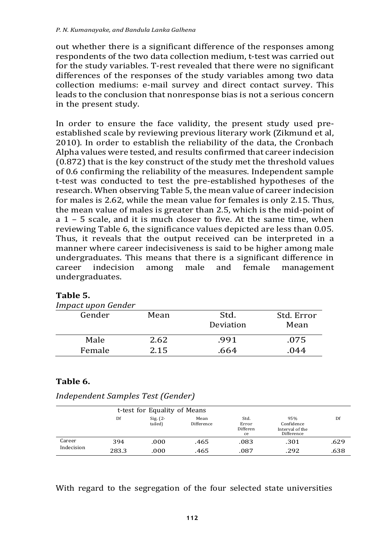out whether there is a significant difference of the responses among respondents of the two data collection medium, t-test was carried out for the study variables. T-rest revealed that there were no significant differences of the responses of the study variables among two data collection mediums: e-mail survey and direct contact survey. This leads to the conclusion that nonresponse bias is not a serious concern in the present study.

In order to ensure the face validity, the present study used preestablished scale by reviewing previous literary work (Zikmund et al, 2010). In order to establish the reliability of the data, the Cronbach Alpha values were tested, and results confirmed that career indecision (0.872) that is the key construct of the study met the threshold values of 0.6 confirming the reliability of the measures. Independent sample t-test was conducted to test the pre-established hypotheses of the research. When observing Table 5, the mean value of career indecision for males is 2.62, while the mean value for females is only 2.15. Thus, the mean value of males is greater than 2.5, which is the mid-point of a 1 – 5 scale, and it is much closer to five. At the same time, when reviewing Table 6, the significance values depicted are less than 0.05. Thus, it reveals that the output received can be interpreted in a manner where career indecisiveness is said to be higher among male undergraduates. This means that there is a significant difference in career indecision among male and female management undergraduates.

| <b>Impact upon Gender</b> |      |           |            |
|---------------------------|------|-----------|------------|
| Gender                    | Mean | Std.      | Std. Error |
|                           |      | Deviation | Mean       |
| Male                      | 2.62 | .991      | .075       |
| Female                    | 2.15 | .664      | .044       |

#### **Table 5.**

### **Table 6.**

| Independent Samples Test (Gender) |  |  |
|-----------------------------------|--|--|
|                                   |  |  |

|            |       | t-test for Equality of Means |                    |                                 |                                                    |      |
|------------|-------|------------------------------|--------------------|---------------------------------|----------------------------------------------------|------|
|            | Df    | Sig. $(2 -$<br>tailed)       | Mean<br>Difference | Std.<br>Error<br>Differen<br>ce | 95%<br>Confidence<br>Interval of the<br>Difference | Df   |
| Career     | 394   | .000                         | .465               | .083                            | .301                                               | .629 |
| Indecision | 283.3 | .000                         | .465               | .087                            | .292                                               | .638 |

With regard to the segregation of the four selected state universities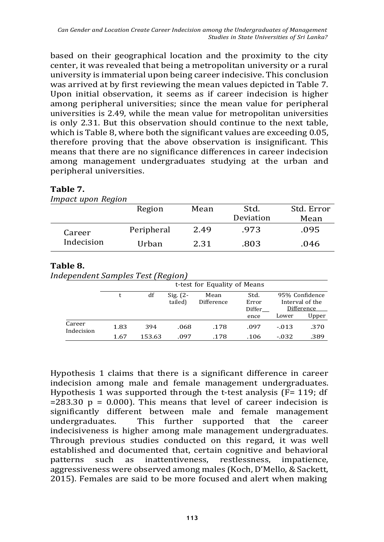based on their geographical location and the proximity to the city center, it was revealed that being a metropolitan university or a rural university is immaterial upon being career indecisive. This conclusion was arrived at by first reviewing the mean values depicted in Table 7. Upon initial observation, it seems as if career indecision is higher among peripheral universities; since the mean value for peripheral universities is 2.49, while the mean value for metropolitan universities is only 2.31. But this observation should continue to the next table, which is Table 8, where both the significant values are exceeding 0.05, therefore proving that the above observation is insignificant. This means that there are no significance differences in career indecision among management undergraduates studying at the urban and peripheral universities.

| IMPACL UPON Region |            |      |           |            |
|--------------------|------------|------|-----------|------------|
|                    | Region     | Mean | Std.      | Std. Error |
|                    |            |      | Deviation | Mean       |
| Career             | Peripheral | 2.49 | .973      | .095       |
| Indecision         | Urban      | 2.31 | .803      | .046       |

#### **Table 7.**

#### *Impact upon Region*

#### **Table 8.**

*Independent Samples Test (Region)*

|                      |      |        | $\cdot$                | t-test for Equality of Means |                         |          |                                                 |
|----------------------|------|--------|------------------------|------------------------------|-------------------------|----------|-------------------------------------------------|
|                      |      | df     | Sig. $(2 -$<br>tailed) | Mean<br>Difference           | Std.<br>Error<br>Differ |          | 95% Confidence<br>Interval of the<br>Difference |
|                      |      |        |                        |                              | ence                    | Lower    | Upper                                           |
| Career<br>Indecision | 1.83 | 394    | .068                   | .178                         | .097                    | $-.013$  | .370                                            |
|                      | 1.67 | 153.63 | .097                   | .178                         | .106                    | $-0.032$ | .389                                            |

Hypothesis 1 claims that there is a significant difference in career indecision among male and female management undergraduates. Hypothesis 1 was supported through the t-test analysis (F= 119; df  $=283.30$  p = 0.000). This means that level of career indecision is significantly different between male and female management undergraduates. This further supported that the career indecisiveness is higher among male management undergraduates. Through previous studies conducted on this regard, it was well established and documented that, certain cognitive and behavioral patterns such as inattentiveness, restlessness, impatience, aggressiveness were observed among males (Koch, D'Mello, & Sackett, 2015). Females are said to be more focused and alert when making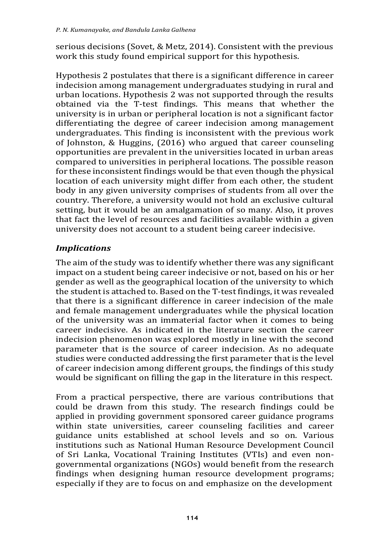serious decisions (Sovet, & Metz, 2014). Consistent with the previous work this study found empirical support for this hypothesis.

Hypothesis 2 postulates that there is a significant difference in career indecision among management undergraduates studying in rural and urban locations. Hypothesis 2 was not supported through the results obtained via the T-test findings. This means that whether the university is in urban or peripheral location is not a significant factor differentiating the degree of career indecision among management undergraduates. This finding is inconsistent with the previous work of Johnston, & Huggins, (2016) who argued that career counseling opportunities are prevalent in the universities located in urban areas compared to universities in peripheral locations. The possible reason for these inconsistent findings would be that even though the physical location of each university might differ from each other, the student body in any given university comprises of students from all over the country. Therefore, a university would not hold an exclusive cultural setting, but it would be an amalgamation of so many. Also, it proves that fact the level of resources and facilities available within a given university does not account to a student being career indecisive.

### *Implications*

The aim of the study was to identify whether there was any significant impact on a student being career indecisive or not, based on his or her gender as well as the geographical location of the university to which the student is attached to. Based on the T-test findings, it was revealed that there is a significant difference in career indecision of the male and female management undergraduates while the physical location of the university was an immaterial factor when it comes to being career indecisive. As indicated in the literature section the career indecision phenomenon was explored mostly in line with the second parameter that is the source of career indecision. As no adequate studies were conducted addressing the first parameter that is the level of career indecision among different groups, the findings of this study would be significant on filling the gap in the literature in this respect.

From a practical perspective, there are various contributions that could be drawn from this study. The research findings could be applied in providing government sponsored career guidance programs within state universities, career counseling facilities and career guidance units established at school levels and so on. Various institutions such as National Human Resource Development Council of Sri Lanka, Vocational Training Institutes (VTIs) and even nongovernmental organizations (NGOs) would benefit from the research findings when designing human resource development programs; especially if they are to focus on and emphasize on the development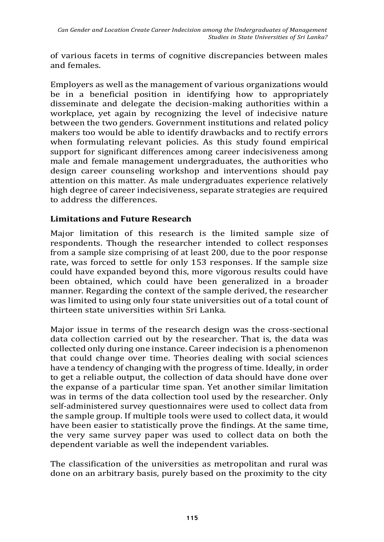of various facets in terms of cognitive discrepancies between males and females.

Employers as well as the management of various organizations would be in a beneficial position in identifying how to appropriately disseminate and delegate the decision-making authorities within a workplace, yet again by recognizing the level of indecisive nature between the two genders. Government institutions and related policy makers too would be able to identify drawbacks and to rectify errors when formulating relevant policies. As this study found empirical support for significant differences among career indecisiveness among male and female management undergraduates, the authorities who design career counseling workshop and interventions should pay attention on this matter. As male undergraduates experience relatively high degree of career indecisiveness, separate strategies are required to address the differences.

#### **Limitations and Future Research**

Major limitation of this research is the limited sample size of respondents. Though the researcher intended to collect responses from a sample size comprising of at least 200, due to the poor response rate, was forced to settle for only 153 responses. If the sample size could have expanded beyond this, more vigorous results could have been obtained, which could have been generalized in a broader manner. Regarding the context of the sample derived, the researcher was limited to using only four state universities out of a total count of thirteen state universities within Sri Lanka.

Major issue in terms of the research design was the cross-sectional data collection carried out by the researcher. That is, the data was collected only during one instance. Career indecision is a phenomenon that could change over time. Theories dealing with social sciences have a tendency of changing with the progress of time. Ideally, in order to get a reliable output, the collection of data should have done over the expanse of a particular time span. Yet another similar limitation was in terms of the data collection tool used by the researcher. Only self-administered survey questionnaires were used to collect data from the sample group. If multiple tools were used to collect data, it would have been easier to statistically prove the findings. At the same time, the very same survey paper was used to collect data on both the dependent variable as well the independent variables.

The classification of the universities as metropolitan and rural was done on an arbitrary basis, purely based on the proximity to the city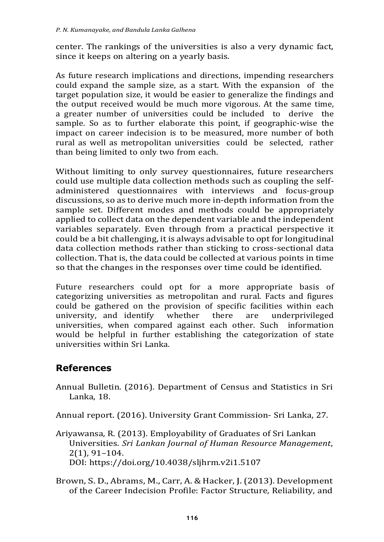center. The rankings of the universities is also a very dynamic fact, since it keeps on altering on a yearly basis.

As future research implications and directions, impending researchers could expand the sample size, as a start. With the expansion of the target population size, it would be easier to generalize the findings and the output received would be much more vigorous. At the same time, a greater number of universities could be included to derive the sample. So as to further elaborate this point, if geographic-wise the impact on career indecision is to be measured, more number of both rural as well as metropolitan universities could be selected, rather than being limited to only two from each.

Without limiting to only survey questionnaires, future researchers could use multiple data collection methods such as coupling the selfadministered questionnaires with interviews and focus-group discussions, so as to derive much more in-depth information from the sample set. Different modes and methods could be appropriately applied to collect data on the dependent variable and the independent variables separately. Even through from a practical perspective it could be a bit challenging, it is always advisable to opt for longitudinal data collection methods rather than sticking to cross-sectional data collection. That is, the data could be collected at various points in time so that the changes in the responses over time could be identified.

Future researchers could opt for a more appropriate basis of categorizing universities as metropolitan and rural. Facts and figures could be gathered on the provision of specific facilities within each university, and identify whether there are underprivileged universities, when compared against each other. Such information would be helpful in further establishing the categorization of state universities within Sri Lanka.

### **References**

Annual Bulletin. (2016). Department of Census and Statistics in Sri Lanka, 18.

Annual report. (2016). University Grant Commission- Sri Lanka, 27.

- Ariyawansa, R. (2013). Employability of Graduates of Sri Lankan Universities. *Sri Lankan Journal of Human Resource Management*, 2(1), 91–104. DOI: https://doi.org/10.4038/sljhrm.v2i1.5107
- Brown, S. D., Abrams, M., Carr, A. & Hacker, J.(2013). Development of the Career Indecision Profile: Factor Structure, Reliability, and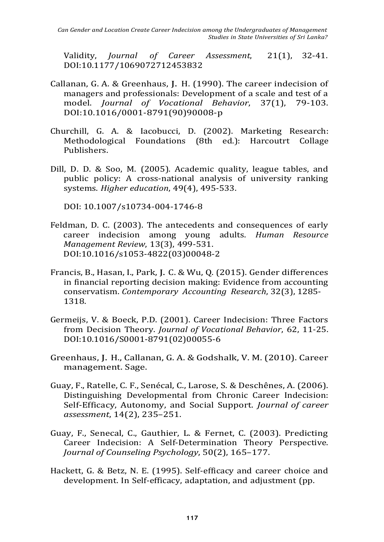Validity, *Journal of Career Assessment*, 21(1), 32-41. DOI:10.1177/1069072712453832

- Callanan, G. A. & Greenhaus, J. H. (1990). The career indecision of managers and professionals: Development of a scale and test of a model. *Journal of Vocational Behavior*, 37(1), 79-103. DOI:10.1016/0001-8791(90)90008-p
- Churchill, G. A. & Iacobucci, D. (2002). Marketing Research: Methodological Foundations (8th ed.): Harcoutrt Collage Publishers.
- Dill, D. D. & Soo, M. (2005). Academic quality, league tables, and public policy: A cross-national analysis of university ranking systems. *Higher education*, 49(4), 495-533.

DOI: 10.1007/s10734-004-1746-8

- Feldman, D. C. (2003). The antecedents and consequences of early career indecision among young adults. *Human Resource Management Review*, 13(3), 499-531. DOI:10.1016/s1053-4822(03)00048-2
- Francis, B., Hasan, I., Park, J. C. & Wu, Q. (2015). Gender differences in financial reporting decision making: Evidence from accounting conservatism. *Contemporary Accounting Research*, 32(3), 1285- 1318.
- Germeijs, V. & Boeck, P.D. (2001). Career Indecision: Three Factors from Decision Theory. *Journal of Vocational Behavior*, 62, 11-25. DOI:10.1016/S0001-8791(02)00055-6
- Greenhaus, J. H., Callanan, G. A. & Godshalk, V. M. (2010). Career management. Sage.
- Guay, F., Ratelle, C. F., Senécal, C., Larose, S. & Deschênes, A. (2006). Distinguishing Developmental from Chronic Career Indecision: Self-Efficacy, Autonomy, and Social Support. *Journal of career assessment*, 14(2), 235–251.
- Guay, F., Senecal, C., Gauthier, L. & Fernet, C. (2003). Predicting Career Indecision: A Self-Determination Theory Perspective. *Journal of Counseling Psychology*, 50(2), 165–177.
- Hackett, G. & Betz, N. E. (1995). Self-efficacy and career choice and development. In Self-efficacy, adaptation, and adjustment (pp.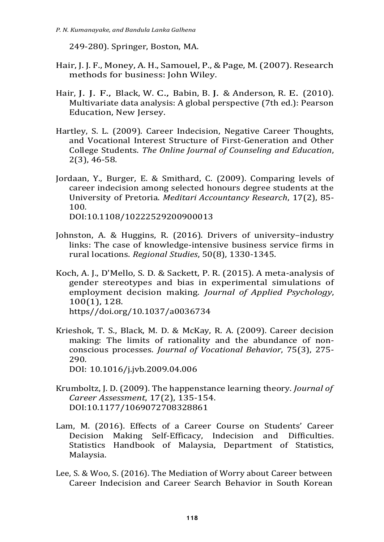249-280). Springer, Boston, MA.

- Hair, J. J. F., Money, A. H., Samouel, P., & Page, M.(2007). Research methods for business: John Wiley.
- Hair, J. J. F., Black, W. C., Babin, B. J. & Anderson, R. E. (2010). Multivariate data analysis: A global perspective (7th ed.): Pearson Education, New Jersey.
- Hartley, S. L. (2009). Career Indecision, Negative Career Thoughts, and Vocational Interest Structure of First-Generation and Other College Students. *The Online Journal of Counseling and Education*, 2(3), 46-58.
- Jordaan, Y., Burger, E. & Smithard, C. (2009). Comparing levels of career indecision among selected honours degree students at the University of Pretoria. *Meditari Accountancy Research*, 17(2), 85- 100.

DOI:10.1108/10222529200900013

- Johnston, A. & Huggins, R. (2016). Drivers of university–industry links: The case of knowledge-intensive business service firms in rural locations. *Regional Studies*, 50(8), 1330-1345.
- Koch, A. J., D'Mello, S. D. & Sackett, P. R. (2015). A meta-analysis of gender stereotypes and bias in experimental simulations of employment decision making. *Journal of Applied Psychology*, 100(1), 128. https//doi.org/10.1037/a0036734
- Krieshok, T. S., Black, M. D. & McKay, R. A. (2009). Career decision making: The limits of rationality and the abundance of nonconscious processes. *Journal of Vocational Behavior*, 75(3), 275- 290.
	- DOI: 10.1016/j.jvb.2009.04.006
- Krumboltz, J. D. (2009). The happenstance learning theory. *Journal of Career Assessment*, 17(2), 135-154. DOI:10.1177/1069072708328861
- Lam, M. (2016). Effects of a Career Course on Students' Career Decision Making Self-Efficacy, Indecision and Difficulties. Statistics Handbook of Malaysia, Department of Statistics, Malaysia.
- Lee, S. & Woo, S. (2016). The Mediation of Worry about Career between Career Indecision and Career Search Behavior in South Korean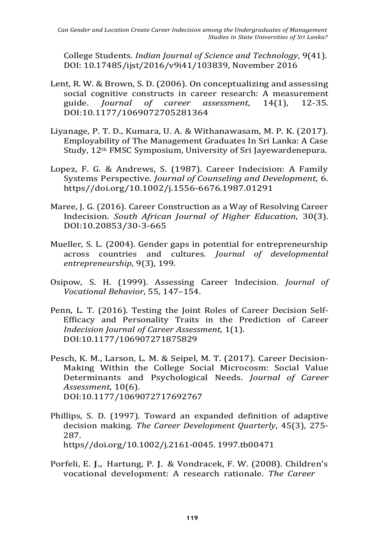College Students. *Indian Journal of Science and Technology*, 9(41). DOI: 10.17485/ijst/2016/v9i41/103839, November 2016

- Lent, R. W. & Brown, S. D. (2006). On conceptualizing and assessing social cognitive constructs in career research: A measurement guide. *Journal of career assessment*, 14(1), 12-35. DOI:10.1177/1069072705281364
- Liyanage, P. T. D., Kumara, U. A. & Withanawasam, M. P. K. (2017). Employability of The Management Graduates In Sri Lanka: A Case Study, 12th FMSC Symposium, University of Sri Jayewardenepura.
- Lopez, F. G. & Andrews, S. (1987). Career Indecision: A Family Systems Perspective. *Journal of Counseling and Development*, 6. https/[/doi.org/10.1002/j.1556-6676.1987.01291](https://doi.org/10.1002/j.1556-6676.1987.tb01291.x)
- Maree, J. G. (2016). Career Construction as a Way of Resolving Career Indecision. *South African Journal of Higher Education*, 30(3). DOI:10.20853/30-3-665
- Mueller, S. L. (2004). Gender gaps in potential for entrepreneurship across countries and cultures. *Journal of developmental entrepreneurship*, 9(3), 199.
- Osipow, S. H. (1999). Assessing Career Indecision. *Journal of Vocational Behavior*, 55, 147–154.
- Penn, L. T. (2016). Testing the Joint Roles of Career Decision Self-Efficacy and Personality Traits in the Prediction of Career *Indecision Journal of Career Assessment*, 1(1). DOI:10.1177/106907271875829
- Pesch, K. M., Larson, L. M. & Seipel, M. T. (2017). Career Decision-Making Within the College Social Microcosm: Social Value Determinants and Psychological Needs. *Journal of Career Assessment*, 10(6). DOI:10.1177/1069072717692767
- Phillips, S. D. (1997). Toward an expanded definition of adaptive decision making. *The Career Development Quarterly*, 45(3), 275- 287. https//doi.org/10.1002/j.2161-0045. 1997.tb00471
- Porfeli, E. J., Hartung, P. J. & Vondracek, F. W. (2008). Children's vocational development: A research rationale. *The Career*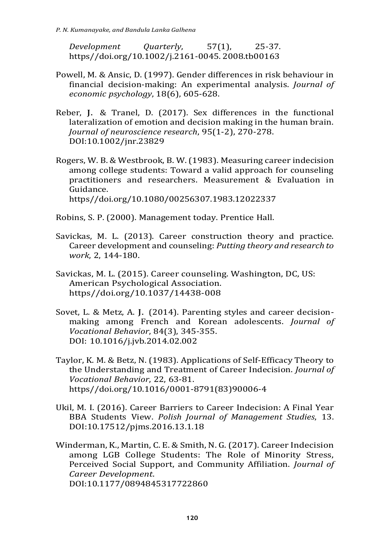*Development Quarterly*, 57(1), 25-37. https//doi.org/10.1002/j.2161-0045. 2008.tb00163

- Powell, M. & Ansic, D. (1997). Gender differences in risk behaviour in financial decision-making: An experimental analysis. *Journal of economic psychology*, 18(6), 605-628.
- Reber, J. & Tranel, D. (2017). Sex differences in the functional lateralization of emotion and decision making in the human brain. *Journal of neuroscience research*, 95(1-2), 270-278. DOI:10.1002/jnr.23829
- Rogers, W. B. & Westbrook, B. W. (1983). Measuring career indecision among college students: Toward a valid approach for counseling practitioners and researchers. Measurement & Evaluation in Guidance. https//doi.org/10.1080/00256307.1983.12022337
- Robins, S. P. (2000). Management today. Prentice Hall.
- Savickas, M. L. (2013). Career construction theory and practice. Career development and counseling: *Putting theory and research to work*, 2, 144-180.
- Savickas, M. L. (2015). Career counseling. Washington, DC, US: American Psychological Association. https//doi.org/10.1037/14438-008
- Sovet, L. & Metz, A. J. (2014). Parenting styles and career decisionmaking among French and Korean adolescents. *Journal of Vocational Behavior*, 84(3), 345-355. DOI: 10.1016/j.jvb.2014.02.002
- Taylor, K. M. & Betz, N. (1983). Applications of Self-Efficacy Theory to the Understanding and Treatment of Career Indecision. *Journal of Vocational Behavior*, 22, 63-81. https//doi.org/10.1016/0001-8791(83)90006-4
- Ukil, M. I. (2016). Career Barriers to Career Indecision: A Final Year BBA Students View. *Polish Journal of Management Studies*, 13. DOI:10.17512/pjms.2016.13.1.18
- Winderman, K., Martin, C. E. & Smith, N. G.(2017). Career Indecision among LGB College Students: The Role of Minority Stress, Perceived Social Support, and Community Affiliation. *Journal of Career Development*. DOI:10.1177/0894845317722860